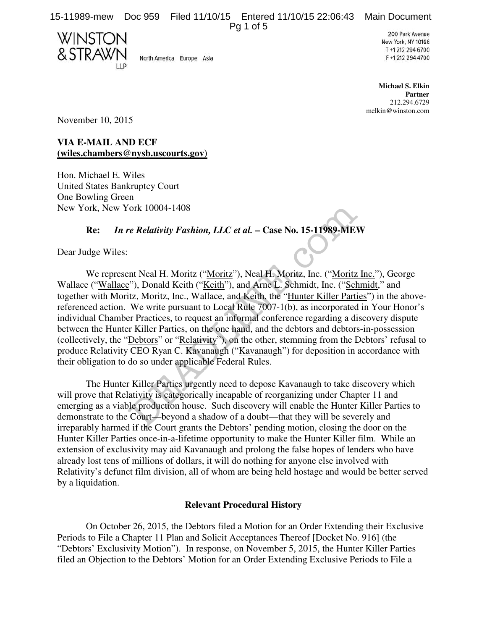15-11989-mew Doc 959 Filed 11/10/15 Entered 11/10/15 22:06:43 Main Document Pg 1 of 5

WINSTOI & STRAW

North America Europe Asia

200 Park Avenue New York, NY 10166 T +1 212 294 6700 F+1212 294 4700

**Michael S. Elkin Partner** 212.294.6729 melkin@winston.com

November 10, 2015

**VIA E-MAIL AND ECF (wiles.chambers@nysb.uscourts.gov)** 

Hon. Michael E. Wiles United States Bankruptcy Court One Bowling Green New York, New York 10004-1408

## **Re:** *In re Relativity Fashion, LLC et al.* **– Case No. 15-11989-MEW**

Dear Judge Wiles:

We represent Neal H. Moritz ("Moritz"), Neal H. Moritz, Inc. ("Moritz Inc."), George Wallace ("Wallace"), Donald Keith ("Keith"), and Arne L. Schmidt, Inc. ("Schmidt," and together with Moritz, Moritz, Inc., Wallace, and Keith, the "Hunter Killer Parties") in the abovereferenced action. We write pursuant to Local Rule 7007-1(b), as incorporated in Your Honor's individual Chamber Practices, to request an informal conference regarding a discovery dispute between the Hunter Killer Parties, on the one hand, and the debtors and debtors-in-possession (collectively, the "Debtors" or "Relativity"), on the other, stemming from the Debtors' refusal to produce Relativity CEO Ryan C. Kavanaugh ("Kavanaugh") for deposition in accordance with their obligation to do so under applicable Federal Rules. Fork 10004-1408<br>
Fork 10004-1408<br>
Fork Relativity Fashion, LLC et al. – Case No. 15-11989-ME<br>
Internal H. Moritz ("<u>Moritz</u>"), Neal H. Moritz, Inc. ("<u>Moritz</u>"), Donald Keith ("<u>Keith</u>"), and Arne L. Schmidt, Inc. ("<u>Sch</u>

The Hunter Killer Parties urgently need to depose Kavanaugh to take discovery which will prove that Relativity is categorically incapable of reorganizing under Chapter 11 and emerging as a viable production house. Such discovery will enable the Hunter Killer Parties to demonstrate to the Court—beyond a shadow of a doubt—that they will be severely and irreparably harmed if the Court grants the Debtors' pending motion, closing the door on the Hunter Killer Parties once-in-a-lifetime opportunity to make the Hunter Killer film. While an extension of exclusivity may aid Kavanaugh and prolong the false hopes of lenders who have already lost tens of millions of dollars, it will do nothing for anyone else involved with Relativity's defunct film division, all of whom are being held hostage and would be better served by a liquidation.

### **Relevant Procedural History**

On October 26, 2015, the Debtors filed a Motion for an Order Extending their Exclusive Periods to File a Chapter 11 Plan and Solicit Acceptances Thereof [Docket No. 916] (the "Debtors' Exclusivity Motion"). In response, on November 5, 2015, the Hunter Killer Parties filed an Objection to the Debtors' Motion for an Order Extending Exclusive Periods to File a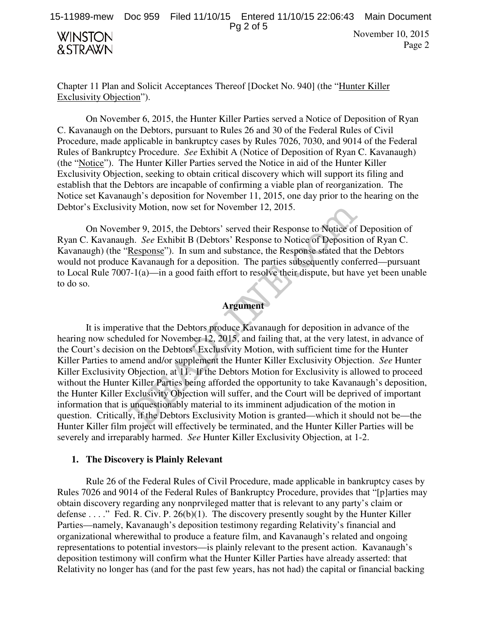

Chapter 11 Plan and Solicit Acceptances Thereof [Docket No. 940] (the "Hunter Killer Exclusivity Objection").

On November 6, 2015, the Hunter Killer Parties served a Notice of Deposition of Ryan C. Kavanaugh on the Debtors, pursuant to Rules 26 and 30 of the Federal Rules of Civil Procedure, made applicable in bankruptcy cases by Rules 7026, 7030, and 9014 of the Federal Rules of Bankruptcy Procedure. *See* Exhibit A (Notice of Deposition of Ryan C. Kavanaugh) (the "Notice"). The Hunter Killer Parties served the Notice in aid of the Hunter Killer Exclusivity Objection, seeking to obtain critical discovery which will support its filing and establish that the Debtors are incapable of confirming a viable plan of reorganization. The Notice set Kavanaugh's deposition for November 11, 2015, one day prior to the hearing on the Debtor's Exclusivity Motion, now set for November 12, 2015.

On November 9, 2015, the Debtors' served their Response to Notice of Deposition of Ryan C. Kavanaugh. *See* Exhibit B (Debtors' Response to Notice of Deposition of Ryan C. Kavanaugh) (the "Response"). In sum and substance, the Response stated that the Debtors would not produce Kavanaugh for a deposition. The parties subsequently conferred—pursuant to Local Rule 7007-1(a)—in a good faith effort to resolve their dispute, but have yet been unable to do so.

# **Argument**

It is imperative that the Debtors produce Kavanaugh for deposition in advance of the hearing now scheduled for November 12, 2015, and failing that, at the very latest, in advance of the Court's decision on the Debtors' Exclusivity Motion, with sufficient time for the Hunter Killer Parties to amend and/or supplement the Hunter Killer Exclusivity Objection. *See* Hunter Killer Exclusivity Objection, at 11. If the Debtors Motion for Exclusivity is allowed to proceed without the Hunter Killer Parties being afforded the opportunity to take Kavanaugh's deposition, the Hunter Killer Exclusivity Objection will suffer, and the Court will be deprived of important information that is unquestionably material to its imminent adjudication of the motion in question. Critically, if the Debtors Exclusivity Motion is granted—which it should not be—the Hunter Killer film project will effectively be terminated, and the Hunter Killer Parties will be severely and irreparably harmed. *See* Hunter Killer Exclusivity Objection, at 1-2. ity Motion, now set for November 12, 2015.<br>
ber 9, 2015, the Debtors' served their Response to Notice of<br>
ph. *See* Exhibit B (Debtors' Response to Notice of Depositic<br>
<u>Response</u>"). In sum and substance, the Response stat

### **1. The Discovery is Plainly Relevant**

Rule 26 of the Federal Rules of Civil Procedure, made applicable in bankruptcy cases by Rules 7026 and 9014 of the Federal Rules of Bankruptcy Procedure, provides that "[p]arties may obtain discovery regarding any nonprvileged matter that is relevant to any party's claim or defense . . . ." Fed. R. Civ. P. 26(b)(1). The discovery presently sought by the Hunter Killer Parties—namely, Kavanaugh's deposition testimony regarding Relativity's financial and organizational wherewithal to produce a feature film, and Kavanaugh's related and ongoing representations to potential investors—is plainly relevant to the present action. Kavanaugh's deposition testimony will confirm what the Hunter Killer Parties have already asserted: that Relativity no longer has (and for the past few years, has not had) the capital or financial backing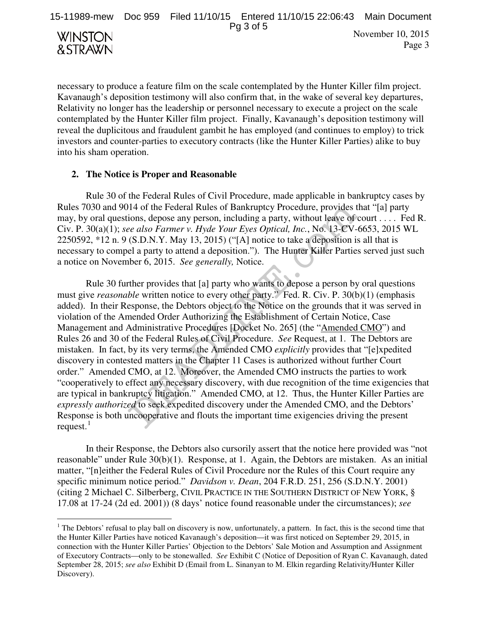Pg 3 of 5



 $\overline{a}$ 

November 10, 2015 Page 3

necessary to produce a feature film on the scale contemplated by the Hunter Killer film project. Kavanaugh's deposition testimony will also confirm that, in the wake of several key departures, Relativity no longer has the leadership or personnel necessary to execute a project on the scale contemplated by the Hunter Killer film project. Finally, Kavanaugh's deposition testimony will reveal the duplicitous and fraudulent gambit he has employed (and continues to employ) to trick investors and counter-parties to executory contracts (like the Hunter Killer Parties) alike to buy into his sham operation.

### **2. The Notice is Proper and Reasonable**

Rule 30 of the Federal Rules of Civil Procedure, made applicable in bankruptcy cases by Rules 7030 and 9014 of the Federal Rules of Bankruptcy Procedure, provides that "[a] party may, by oral questions, depose any person, including a party, without leave of court . . . . Fed R. Civ. P. 30(a)(1); *see also Farmer v. Hyde Your Eyes Optical, Inc.*, No. 13-CV-6653, 2015 WL 2250592, \*12 n. 9 (S.D.N.Y. May 13, 2015) ("[A] notice to take a deposition is all that is necessary to compel a party to attend a deposition."). The Hunter Killer Parties served just such a notice on November 6, 2015. *See generally,* Notice.

Rule 30 further provides that [a] party who wants to depose a person by oral questions must give *reasonable* written notice to every other party." Fed. R. Civ. P. 30(b)(1) (emphasis added). In their Response, the Debtors object to the Notice on the grounds that it was served in violation of the Amended Order Authorizing the Establishment of Certain Notice, Case Management and Administrative Procedures [Docket No. 265] (the "Amended CMO") and Rules 26 and 30 of the Federal Rules of Civil Procedure. *See* Request, at 1. The Debtors are mistaken. In fact, by its very terms, the Amended CMO *explicitly* provides that "[e]xpedited discovery in contested matters in the Chapter 11 Cases is authorized without further Court order." Amended CMO, at 12. Moreover, the Amended CMO instructs the parties to work "cooperatively to effect any necessary discovery, with due recognition of the time exigencies that are typical in bankruptcy litigation." Amended CMO, at 12. Thus, the Hunter Killer Parties are *expressly authorized* to seek expedited discovery under the Amended CMO, and the Debtors' Response is both uncooperative and flouts the important time exigencies driving the present request. $<sup>1</sup>$ </sup> 114 of the Federal Rules of Bankruptcy Procedure, provides tions, depose any person, including a party, without leave of *ee also Farmer v. Hyde Your Eyes Optical, Inc.*, No. 13-CV-(S.D.N.Y. May 13, 2015) ("[A] notice to

In their Response, the Debtors also cursorily assert that the notice here provided was "not reasonable" under Rule 30(b)(1). Response, at 1. Again, the Debtors are mistaken. As an initial matter, "[n]either the Federal Rules of Civil Procedure nor the Rules of this Court require any specific minimum notice period." *Davidson v. Dean*, 204 F.R.D. 251, 256 (S.D.N.Y. 2001) (citing 2 Michael C. Silberberg, CIVIL PRACTICE IN THE SOUTHERN DISTRICT OF NEW YORK, § 17.08 at 17-24 (2d ed. 2001)) (8 days' notice found reasonable under the circumstances); *see* 

 $<sup>1</sup>$  The Debtors' refusal to play ball on discovery is now, unfortunately, a pattern. In fact, this is the second time that</sup> the Hunter Killer Parties have noticed Kavanaugh's deposition—it was first noticed on September 29, 2015, in connection with the Hunter Killer Parties' Objection to the Debtors' Sale Motion and Assumption and Assignment of Executory Contracts—only to be stonewalled. *See* Exhibit C (Notice of Deposition of Ryan C. Kavanaugh, dated September 28, 2015; *see also* Exhibit D (Email from L. Sinanyan to M. Elkin regarding Relativity/Hunter Killer Discovery).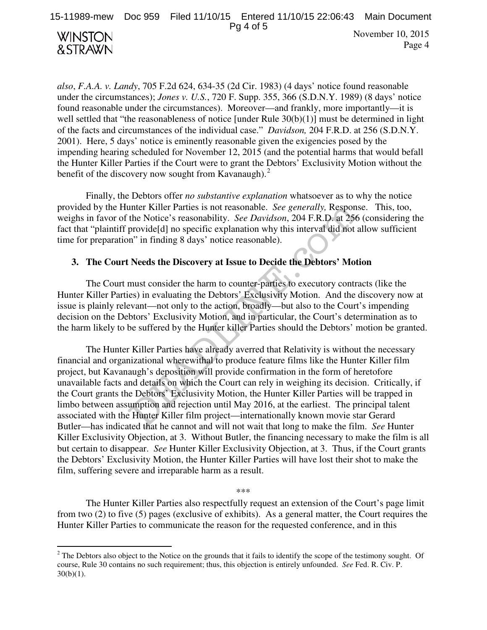Pg 4 of 5



-

November 10, 2015 Page 4

*also*, *F.A.A. v. Landy*, 705 F.2d 624, 634-35 (2d Cir. 1983) (4 days' notice found reasonable under the circumstances); *Jones v. U.S.*, 720 F. Supp. 355, 366 (S.D.N.Y. 1989) (8 days' notice found reasonable under the circumstances). Moreover—and frankly, more importantly—it is well settled that "the reasonableness of notice [under Rule 30(b)(1)] must be determined in light of the facts and circumstances of the individual case." *Davidson,* 204 F.R.D. at 256 (S.D.N.Y. 2001). Here, 5 days' notice is eminently reasonable given the exigencies posed by the impending hearing scheduled for November 12, 2015 (and the potential harms that would befall the Hunter Killer Parties if the Court were to grant the Debtors' Exclusivity Motion without the benefit of the discovery now sought from Kavanaugh).<sup>2</sup>

Finally, the Debtors offer *no substantive explanation* whatsoever as to why the notice provided by the Hunter Killer Parties is not reasonable. *See generally,* Response. This, too, weighs in favor of the Notice's reasonability. *See Davidson*, 204 F.R.D. at 256 (considering the fact that "plaintiff provide[d] no specific explanation why this interval did not allow sufficient time for preparation" in finding 8 days' notice reasonable).

### **3. The Court Needs the Discovery at Issue to Decide the Debtors' Motion**

The Court must consider the harm to counter-parties to executory contracts (like the Hunter Killer Parties) in evaluating the Debtors' Exclusivity Motion. And the discovery now at issue is plainly relevant—not only to the action, broadly—but also to the Court's impending decision on the Debtors' Exclusivity Motion, and in particular, the Court's determination as to the harm likely to be suffered by the Hunter killer Parties should the Debtors' motion be granted.

The Hunter Killer Parties have already averred that Relativity is without the necessary financial and organizational wherewithal to produce feature films like the Hunter Killer film project, but Kavanaugh's deposition will provide confirmation in the form of heretofore unavailable facts and details on which the Court can rely in weighing its decision. Critically, if the Court grants the Debtors' Exclusivity Motion, the Hunter Killer Parties will be trapped in limbo between assumption and rejection until May 2016, at the earliest. The principal talent associated with the Hunter Killer film project—internationally known movie star Gerard Butler—has indicated that he cannot and will not wait that long to make the film. *See* Hunter Killer Exclusivity Objection, at 3. Without Butler, the financing necessary to make the film is all but certain to disappear. *See* Hunter Killer Exclusivity Objection, at 3. Thus, if the Court grants the Debtors' Exclusivity Motion, the Hunter Killer Parties will have lost their shot to make the film, suffering severe and irreparable harm as a result. unter Killer Parties is not reasonable. *See generally*, Respon<br>the Notice's reasonability. *See Davidson*, 204 F.R.D. at 256<br>provide[d] no specific explanation why this interval did not :<br>m" in finding 8 days" notice reas

\*\*\*

 The Hunter Killer Parties also respectfully request an extension of the Court's page limit from two (2) to five (5) pages (exclusive of exhibits). As a general matter, the Court requires the Hunter Killer Parties to communicate the reason for the requested conference, and in this

 $2$  The Debtors also object to the Notice on the grounds that it fails to identify the scope of the testimony sought. Of course, Rule 30 contains no such requirement; thus, this objection is entirely unfounded. *See* Fed. R. Civ. P.  $30(b)(1)$ .